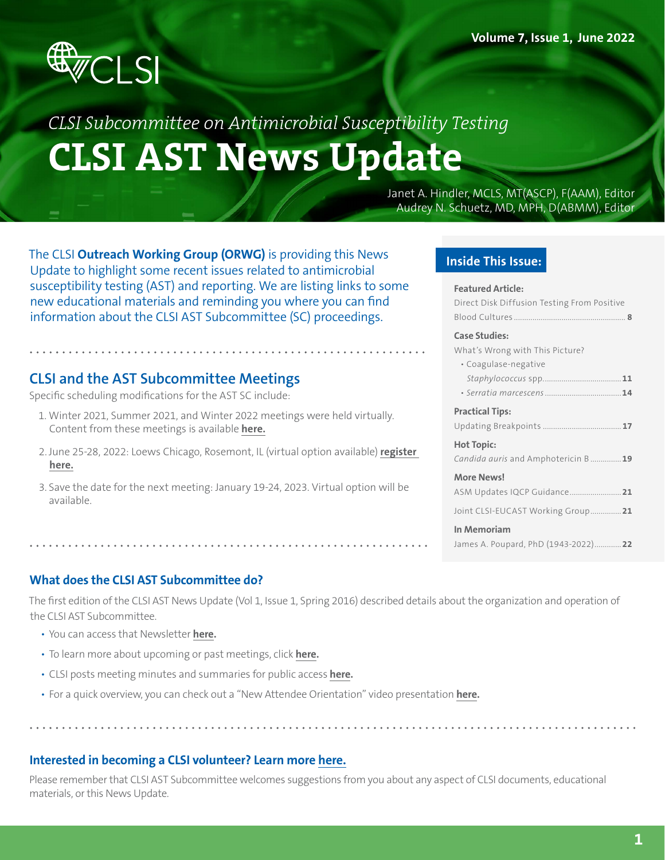

# *CLSI Subcommittee on Antimicrobial Susceptibility Testing* **CLSI AST News Update**

Janet A. Hindler, MCLS, MT(ASCP), F(AAM), Editor Audrey N. Schuetz, MD, MPH, D(ABMM), Editor

The CLSI **Outreach Working Group (ORWG)** is providing this News Update to highlight some recent issues related to antimicrobial susceptibility testing (AST) and reporting. We are listing links to some new educational materials and reminding you where you can find information about the CLSI AST Subcommittee (SC) proceedings.

## **CLSI and the AST Subcommittee Meetings**

Specific scheduling modifications for the AST SC include:

- 1. Winter 2021, Summer 2021, and Winter 2022 meetings were held virtually. Content from these meetings is available **[here.](https://clsi.org/meetings/ast-file-resources/)**
- 2. June 25-28, 2022: Loews Chicago, Rosemont, IL (virtual option available) **[register](https://clsi.org/meetings/)  [here.](https://clsi.org/meetings/)**
- 3. Save the date for the next meeting: January 19-24, 2023. Virtual option will be available.

### **Inside This Issue:**

#### **Featured Article:**

| Direct Disk Diffusion Testing From Positive |  |
|---------------------------------------------|--|
|                                             |  |

#### **Case Studies:**

|  |  | What's Wrong with This Picture? |  |
|--|--|---------------------------------|--|
|  |  |                                 |  |

| · Coagulase-negative |
|----------------------|
|                      |
|                      |

#### **Practical Tips:**

[Updating Breakpoints](#page-16-0) ...................................... **17**

**Hot Topic:** *Candida auris* [and Amphotericin B](#page-18-0) ...............**19**

#### **More News!**

[ASM Updates IQCP Guidance.........................](#page-20-0)**21**

[Joint CLSI-EUCAST Working Group...............](#page-20-0)**21**

#### **In Memoriam**

[James A. Poupard, PhD \(1943-2022\).............](#page-21-0)**22**

#### **What does the CLSI AST Subcommittee do?**

The first edition of the CLSI AST News Update (Vol 1, Issue 1, Spring 2016) described details about the organization and operation of the CLSI AST Subcommittee.

- You can access that Newsletter **[here.](http://clsi.org/meetings/microbiology/newsletter-archives/)**
- To learn more about upcoming or past meetings, click **[here.](https://clsi.org/meetings/susceptibility-testing-subcommittees/)**
- CLSI posts meeting minutes and summaries for public access **[here.](http://clsi.org/meetings/ast-file-resources/)**
- For a quick overview, you can check out a "New Attendee Orientation" video presentation **[here.](https://www.youtube.com/watch?v=uqTDY_caBlw)**

### **Interested in becoming a CLSI volunteer? Learn more [here.](https://clsi.org/get-involved/volunteer-opportunities/)**

Please remember that CLSI AST Subcommittee welcomes suggestions from you about any aspect of CLSI documents, educational materials, or this News Update.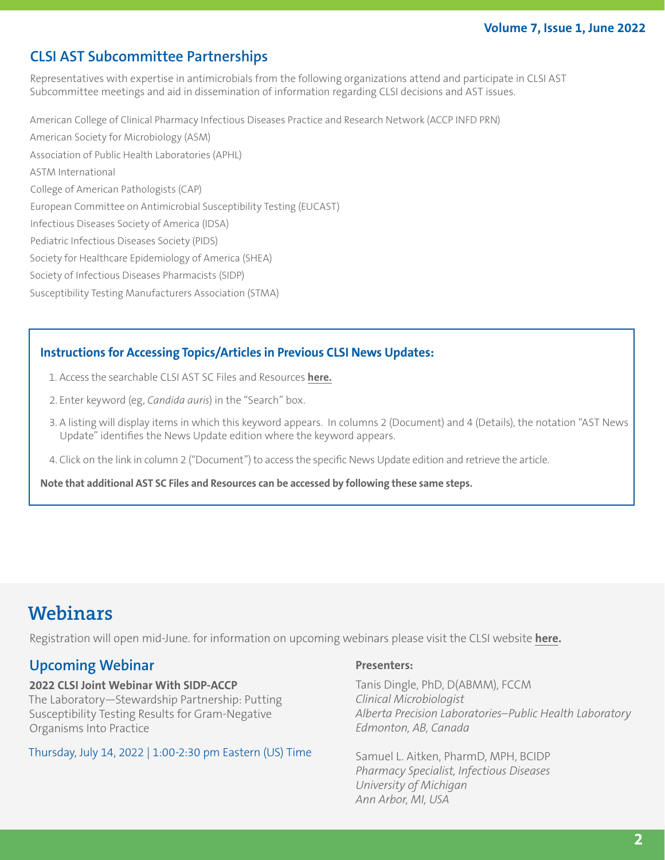## **CLSI AST Subcommittee Partnerships**

Representatives with expertise in antimicrobials from the following organizations attend and participate in CLSI AST Subcommittee meetings and aid in dissemination of information regarding CLSI decisions and AST issues.

American College of Clinical Pharmacy Infectious Diseases Practice and Research Network (ACCP INFD PRN) American Society for Microbiology (ASM) Association of Public Health Laboratories (APHL) ASTM International College of American Pathologists (CAP) European Committee on Antimicrobial Susceptibility Testing (EUCAST) Infectious Diseases Society of America (IDSA) Pediatric Infectious Diseases Society (PIDS) Society for Healthcare Epidemiology of America (SHEA) Society of Infectious Diseases Pharmacists (SIDP) Susceptibility Testing Manufacturers Association (STMA)

### **Instructions for Accessing Topics/Articles in Previous CLSI News Updates:**

- 1. Access the searchable CLSI AST SC Files and Resources **[here](https://clsi.org/meetings/ast-file-resources).**
- 2. Enter keyword (eg, *Candida auris*) in the "Search" box.
- 3. A listing will display items in which this keyword appears. In columns 2 (Document) and 4 (Details), the notation "AST News Update" identifies the News Update edition where the keyword appears.
- 4. Click on the link in column 2 ("Document") to access the specific News Update edition and retrieve the article.

**Note that additional AST SC Files and Resources can be accessed by following these same steps.**

## **Webinars**

Registration will open mid-June. for information on upcoming webinars please visit the CLSI website **[here.](https://clsi.org/standards/products/webinars/education/)**

## **Upcoming Webinar**

#### **2022 CLSI Joint Webinar With SIDP-ACCP**

The Laboratory—Stewardship Partnership: Putting Susceptibility Testing Results for Gram-Negative Organisms Into Practice

Thursday, July 14, 2022 | 1:00-2:30 pm Eastern (US) Time

#### **Presenters:**

Tanis Dingle, PhD, D(ABMM), FCCM *Clinical Microbiologist Alberta Precision Laboratories–Public Health Laboratory Edmonton, AB, Canada*

Samuel L. Aitken, PharmD, MPH, BCIDP *Pharmacy Specialist, Infectious Diseases University of Michigan Ann Arbor, MI, USA*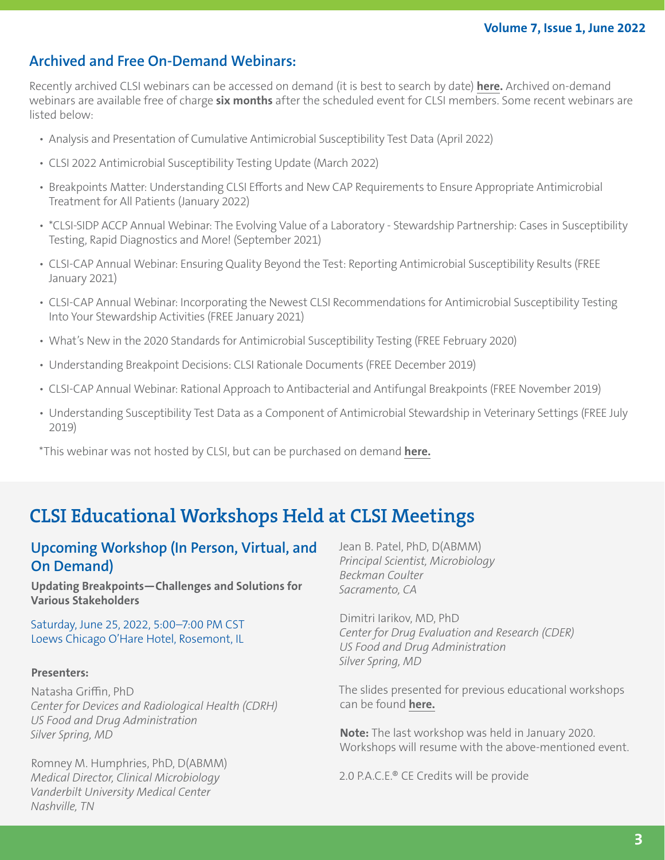## **Archived and Free On-Demand Webinars:**

Recently archived CLSI webinars can be accessed on demand (it is best to search by date) **[here.](http://clsi.org/standards/products/microbiology/education/)** Archived on-demand webinars are available free of charge **six months** after the scheduled event for CLSI members. Some recent webinars are listed below:

- Analysis and Presentation of Cumulative Antimicrobial Susceptibility Test Data (April 2022)
- CLSI 2022 Antimicrobial Susceptibility Testing Update (March 2022)
- Breakpoints Matter: Understanding CLSI Efforts and New CAP Requirements to Ensure Appropriate Antimicrobial Treatment for All Patients (January 2022)
- \*CLSI-SIDP ACCP Annual Webinar: The Evolving Value of a Laboratory Stewardship Partnership: Cases in Susceptibility Testing, Rapid Diagnostics and More! (September 2021)
- CLSI-CAP Annual Webinar: Ensuring Quality Beyond the Test: Reporting Antimicrobial Susceptibility Results (FREE January 2021)
- CLSI-CAP Annual Webinar: Incorporating the Newest CLSI Recommendations for Antimicrobial Susceptibility Testing Into Your Stewardship Activities (FREE January 2021)
- What's New in the 2020 Standards for Antimicrobial Susceptibility Testing (FREE February 2020)
- Understanding Breakpoint Decisions: CLSI Rationale Documents (FREE December 2019)
- CLSI-CAP Annual Webinar: Rational Approach to Antibacterial and Antifungal Breakpoints (FREE November 2019)
- Understanding Susceptibility Test Data as a Component of Antimicrobial Stewardship in Veterinary Settings (FREE July 2019)
- \*This webinar was not hosted by CLSI, but can be purchased on demand **[here.](https://www.proce.com/activities/activity_detail?id=1327)**

## **CLSI Educational Workshops Held at CLSI Meetings**

### **Upcoming Workshop (In Person, Virtual, and On Demand)**

**Updating Breakpoints—Challenges and Solutions for Various Stakeholders**

Saturday, June 25, 2022, 5:00–7:00 PM CST Loews Chicago O'Hare Hotel, Rosemont, IL

#### **Presenters:**

Natasha Griffin, PhD *Center for Devices and Radiological Health (CDRH) US Food and Drug Administration Silver Spring, MD*

Romney M. Humphries, PhD, D(ABMM) *Medical Director, Clinical Microbiology Vanderbilt University Medical Center Nashville, TN*

Jean B. Patel, PhD, D(ABMM) *Principal Scientist, Microbiology Beckman Coulter Sacramento, CA*

Dimitri Iarikov, MD, PhD *Center for Drug Evaluation and Research (CDER) US Food and Drug Administration Silver Spring, MD*

The slides presented for previous educational workshops can be found **[here.](https://clsi.org/meetings/ast-file-resources/)**

**Note:** The last workshop was held in January 2020. Workshops will resume with the above-mentioned event.

2.0 P.A.C.E.® CE Credits will be provide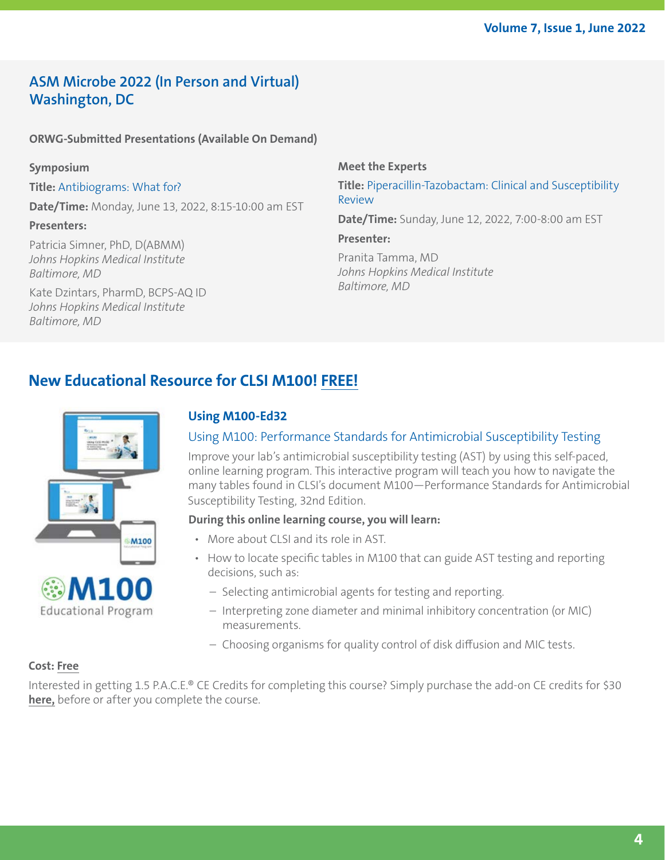## **ASM Microbe 2022 (In Person and Virtual) Washington, DC**

### **ORWG-Submitted Presentations (Available On Demand)**

#### **Symposium**

**Title:** Antibiograms: What for?

**Date/Time:** Monday, June 13, 2022, 8:15-10:00 am EST

#### **Presenters:**

Patricia Simner, PhD, D(ABMM) *Johns Hopkins Medical Institute Baltimore, MD*

Kate Dzintars, PharmD, BCPS-AQ ID *Johns Hopkins Medical Institute Baltimore, MD*

**Meet the Experts** 

**Title:** Piperacillin-Tazobactam: Clinical and Susceptibility Review

**Date/Time:** Sunday, June 12, 2022, 7:00-8:00 am EST

**Presenter:** 

Pranita Tamma, MD *Johns Hopkins Medical Institute Baltimore, MD* 

## **New Educational Resource for CLSI M100! [FREE!](https://clsi.org/standards/products/microbiology/companion/using-m100/)**



## **Using M100-Ed32**

## Using M100: Performance Standards for Antimicrobial Susceptibility Testing

Improve your lab's antimicrobial susceptibility testing (AST) by using this self-paced, online learning program. This interactive program will teach you how to navigate the many tables found in CLSI's document M100—Performance Standards for Antimicrobial Susceptibility Testing, 32nd Edition.

#### **During this online learning course, you will learn:**

- More about CLSI and its role in AST.
- How to locate specific tables in M100 that can guide AST testing and reporting decisions, such as:
	- Selecting antimicrobial agents for testing and reporting.
	- Interpreting zone diameter and minimal inhibitory concentration (or MIC) measurements.
	- Choosing organisms for quality control of disk diffusion and MIC tests.

### **Cost: [Free](https://clsi.org/standards/products/microbiology/companion/using-m100/)**

Interested in getting 1.5 P.A.C.E.® CE Credits for completing this course? Simply purchase the add-on CE credits for \$30 **[here,](https://clsi.org/standards/products/microbiology/companion/using-m100-ce/)** before or after you complete the course.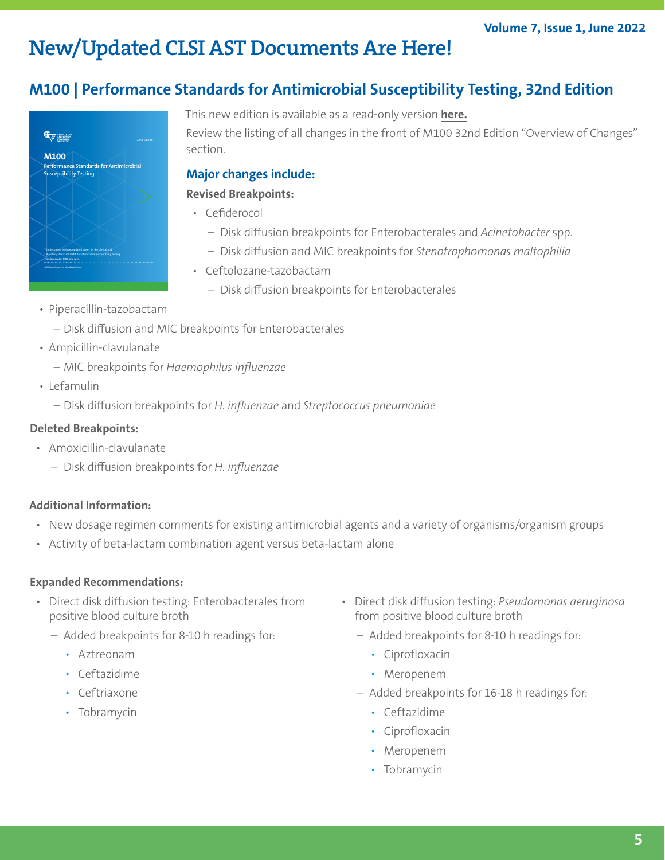### **Volume 7, Issue 1, June 2022**

## **New/Updated CLSI AST Documents Are Here!**

## **M100 | Performance Standards for Antimicrobial Susceptibility Testing, 32nd Edition**



This new edition is available as a read-only version **[here.](https://clsi.org/standards/products/free-resources/access-our-free-resources/)** Review the listing of all changes in the front of M100 32nd Edition "Overview of Changes" section.

### **Major changes include:**

#### **Revised Breakpoints:**

- Cefiderocol
	- Disk diffusion breakpoints for Enterobacterales and *Acinetobacter* spp.
	- Disk diffusion and MIC breakpoints for *Stenotrophomonas maltophilia*
- Ceftolozane-tazobactam
	- Disk diffusion breakpoints for Enterobacterales
- Piperacillin-tazobactam
	- Disk diffusion and MIC breakpoints for Enterobacterales
- Ampicillin-clavulanate
	- MIC breakpoints for *Haemophilus influenzae*
- Lefamulin
	- Disk diffusion breakpoints for *H. influenzae* and *Streptococcus pneumoniae*

#### **Deleted Breakpoints:**

- Amoxicillin-clavulanate
	- Disk diffusion breakpoints for *H. influenzae*

### **Additional Information:**

- New dosage regimen comments for existing antimicrobial agents and a variety of organisms/organism groups
- Activity of beta-lactam combination agent versus beta-lactam alone

#### **Expanded Recommendations:**

- Direct disk diffusion testing: Enterobacterales from positive blood culture broth
	- Added breakpoints for 8-10 h readings for:
		- Aztreonam
		- Ceftazidime
		- Ceftriaxone
		- Tobramycin
- Direct disk diffusion testing: *Pseudomonas aeruginosa* from positive blood culture broth
	- Added breakpoints for 8-10 h readings for:
		- Ciprofloxacin
		- Meropenem
	- Added breakpoints for 16-18 h readings for:
		- Ceftazidime
		- Ciprofloxacin
		- Meropenem
		- Tobramycin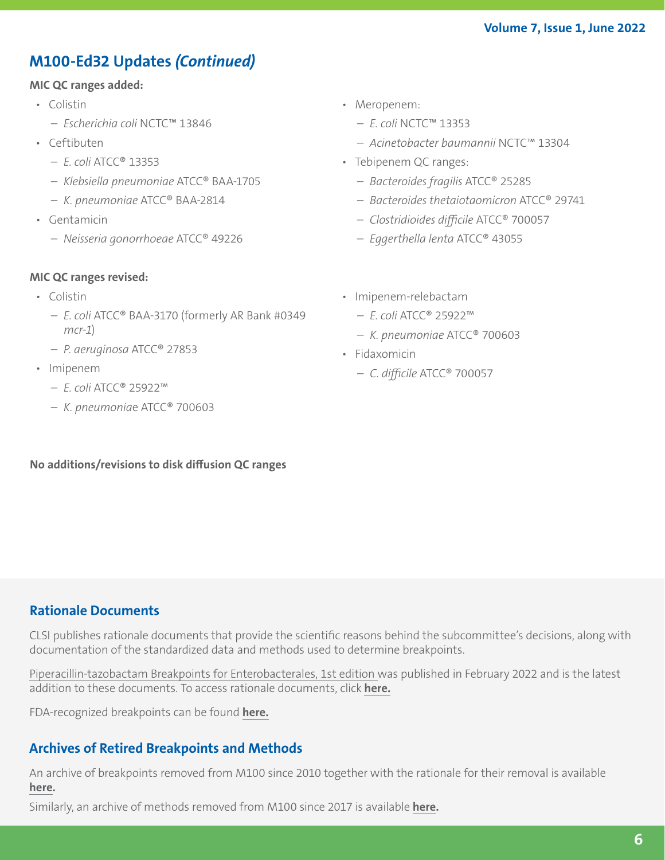## **M100-Ed32 Updates** *(Continued)*

### **MIC QC ranges added:**

- Colistin
	- *Escherichia coli* NCTC™ 13846
- Ceftibuten
	- *E. coli* ATCC® 13353
	- *Klebsiella pneumoniae* ATCC® BAA-1705
	- *K. pneumoniae* ATCC® BAA-2814
- Gentamicin
	- *Neisseria gonorrhoeae* ATCC® 49226

### **MIC QC ranges revised:**

- Colistin
	- *E. coli* ATCC® BAA-3170 (formerly AR Bank #0349 *mcr-1*)
	- *P. aeruginosa* ATCC® 27853
- Imipenem
	- *E. coli* ATCC® 25922™
	- *K. pneumonia*e ATCC® 700603

### **No additions/revisions to disk diffusion QC ranges**

- Meropenem:
	- *E. coli* NCTC™ 13353
	- *Acinetobacter baumannii* NCTC™ 13304
- Tebipenem QC ranges:
	- *Bacteroides fragilis* ATCC® 25285
	- *Bacteroides thetaiotaomicron* ATCC® 29741
	- *Clostridioides difficile* ATCC® 700057
	- *Eggerthella lenta* ATCC® 43055
- Imipenem-relebactam
	- *E. coli* ATCC® 25922™
	- *K. pneumoniae* ATCC® 700603
- Fidaxomicin
	- *C. difficile* ATCC® 700057

## **Rationale Documents**

CLSI publishes rationale documents that provide the scientific reasons behind the subcommittee's decisions, along with documentation of the standardized data and methods used to determine breakpoints.

Piperacillin-tazobactam Breakpoints for Enterobacterales, 1st edition was published in February 2022 and is the latest addition to these documents. To access rationale documents, click **[here.](https://clsi.org/standards/products/packages/mrpkg/)**

FDA-recognized breakpoints can be found **[here.](https://www.fda.gov/drugs/development-resources/fda-recognized-antimicrobial-susceptibility-test-interpretive-criteria)**

## **Archives of Retired Breakpoints and Methods**

An archive of breakpoints removed from M100 since 2010 together with the rationale for their removal is available **[here.](https://clsi.org/media/1828/_m100_archived_drugs_table.pdf)**

Similarly, an archive of methods removed from M100 since 2017 is available **[here.](https://clsi.org/media/1899/_m100_archived_methods_table.pdf)**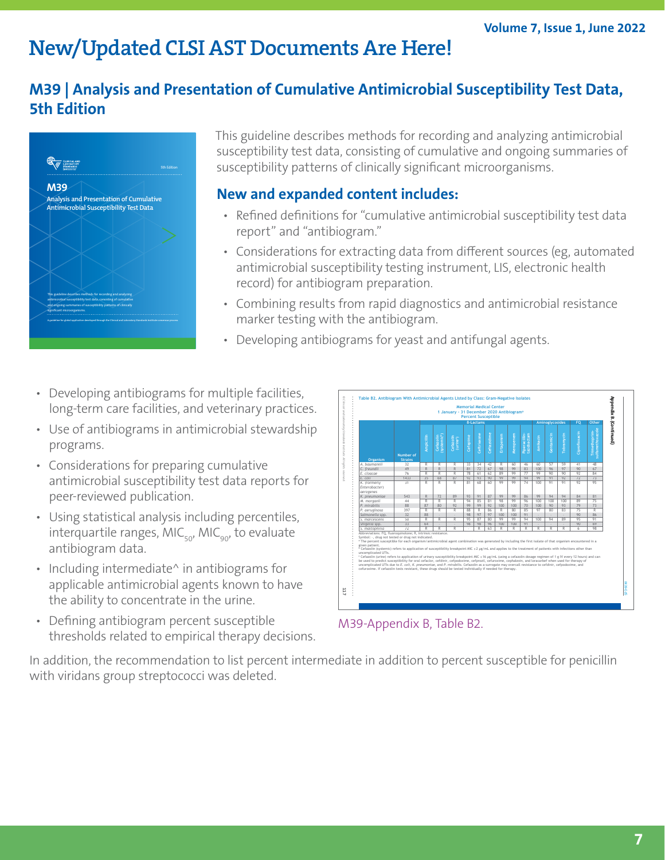## **New/Updated CLSI AST Documents Are Here!**

## **[M39](https://clsi.org/standards/products/microbiology/documents/m39/) | Analysis and Presentation of Cumulative Antimicrobial Susceptibility Test Data, 5th Edition**



This guideline describes methods for recording and analyzing antimicrobial susceptibility test data, consisting of cumulative and ongoing summaries of susceptibility patterns of clinically significant microorganisms.

## **New and expanded content includes:**

- Refined definitions for "cumulative antimicrobial susceptibility test data report" and "antibiogram."
- Considerations for extracting data from different sources (eg, automated antimicrobial susceptibility testing instrument, LIS, electronic health record) for antibiogram preparation.
- Combining results from rapid diagnostics and antimicrobial resistance marker testing with the antibiogram.
- Developing antibiograms for yeast and antifungal agents.
- Developing antibiograms for multiple facilities, long-term care facilities, and veterinary practices.
- Use of antibiograms in antimicrobial stewardship programs.
- Considerations for preparing cumulative antimicrobial susceptibility test data reports for peer-reviewed publication.
- Using statistical analysis including percentiles, interquartile ranges,  $MIC_{50}$ ,  $MIC_{90}$ , to evaluate antibiogram data.
- Including intermediate<sup>^</sup> in antibiograms for applicable antimicrobial agents known to have the ability to concentrate in the urine.
- Defining antibiogram percent susceptible thresholds related to empirical therapy decisions.





In addition, the recommendation to list percent intermediate in addition to percent susceptible for penicillin with viridans group streptococci was deleted.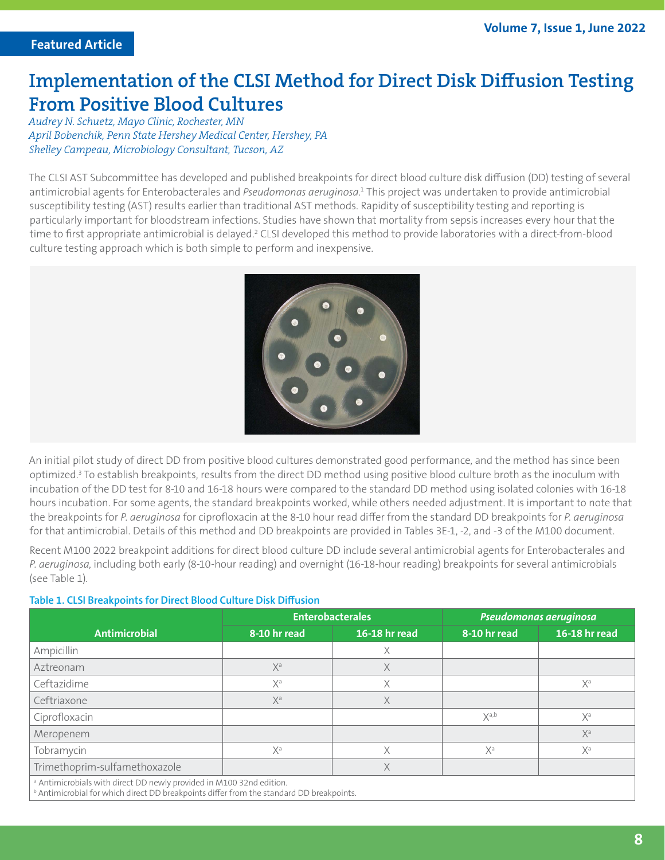## <span id="page-7-0"></span>**Implementation of the CLSI Method for Direct Disk Diffusion Testing From Positive Blood Cultures**

*Audrey N. Schuetz, Mayo Clinic, Rochester, MN April Bobenchik, Penn State Hershey Medical Center, Hershey, PA Shelley Campeau, Microbiology Consultant, Tucson, AZ*

The CLSI AST Subcommittee has developed and published breakpoints for direct blood culture disk diffusion (DD) testing of several antimicrobial agents for Enterobacterales and *Pseudomonas aeruginosa.*<sup>1</sup> This project was undertaken to provide antimicrobial susceptibility testing (AST) results earlier than traditional AST methods. Rapidity of susceptibility testing and reporting is particularly important for bloodstream infections. Studies have shown that mortality from sepsis increases every hour that the time to first appropriate antimicrobial is delayed.<sup>2</sup> CLSI developed this method to provide laboratories with a direct-from-blood culture testing approach which is both simple to perform and inexpensive.



An initial pilot study of direct DD from positive blood cultures demonstrated good performance, and the method has since been optimized.3 To establish breakpoints, results from the direct DD method using positive blood culture broth as the inoculum with incubation of the DD test for 8-10 and 16-18 hours were compared to the standard DD method using isolated colonies with 16-18 hours incubation. For some agents, the standard breakpoints worked, while others needed adjustment. It is important to note that the breakpoints for *P. aeruginosa* for ciprofloxacin at the 8-10 hour read differ from the standard DD breakpoints for *P. aeruginosa* for that antimicrobial. Details of this method and DD breakpoints are provided in Tables 3E-1, -2, and -3 of the M100 document.

Recent M100 2022 breakpoint additions for direct blood culture DD include several antimicrobial agents for Enterobacterales and *P. aeruginosa*, including both early (8-10-hour reading) and overnight (16-18-hour reading) breakpoints for several antimicrobials (see Table 1).

#### **Table 1. CLSI Breakpoints for Direct Blood Culture Disk Diffusion**

|                                                                     |                | <b>Enterobacterales</b> | Pseudomonas aeruginosa |                |
|---------------------------------------------------------------------|----------------|-------------------------|------------------------|----------------|
| <b>Antimicrobial</b>                                                | 8-10 hr read   | 16-18 hr read           | 8-10 hr read           | 16-18 hr read  |
| Ampicillin                                                          |                | Χ                       |                        |                |
| Aztreonam                                                           | X <sup>a</sup> | X                       |                        |                |
| Ceftazidime                                                         | X <sup>a</sup> | Χ                       |                        | X <sup>a</sup> |
| Ceftriaxone                                                         | $X^a$          | X                       |                        |                |
| Ciprofloxacin                                                       |                |                         | X <sup>a,b</sup>       | X <sup>a</sup> |
| Meropenem                                                           |                |                         |                        | $X^a$          |
| Tobramycin                                                          | X <sup>a</sup> | Χ                       | $X^a$                  | $X^a$          |
| Trimethoprim-sulfamethoxazole                                       |                | X                       |                        |                |
| a Antimicropials with direct DD nowly provided in M100.22nd edition |                |                         |                        |                |

<sup>a</sup> Antimicrobials with direct DD newly provided in M100 32nd edition.

**b** Antimicrobial for which direct DD breakpoints differ from the standard DD breakpoints.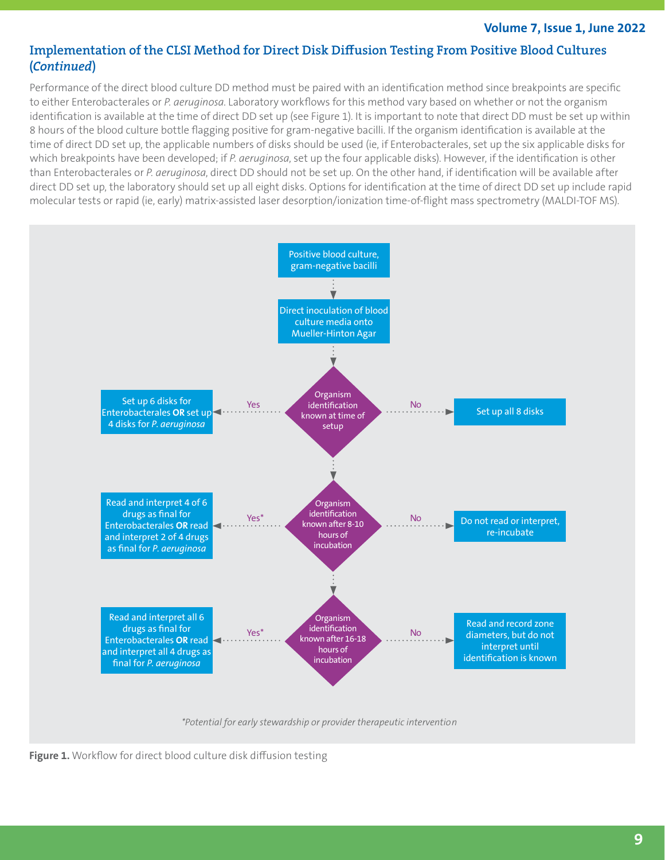#### **Volume 7, Issue 1, June 2022**

## **Implementation of the CLSI Method for Direct Disk Diffusion Testing From Positive Blood Cultures (***Continued***)**

Performance of the direct blood culture DD method must be paired with an identification method since breakpoints are specific to either Enterobacterales or *P. aeruginosa*. Laboratory workflows for this method vary based on whether or not the organism identification is available at the time of direct DD set up (see Figure 1). It is important to note that direct DD must be set up within 8 hours of the blood culture bottle flagging positive for gram-negative bacilli. If the organism identification is available at the time of direct DD set up, the applicable numbers of disks should be used (ie, if Enterobacterales, set up the six applicable disks for which breakpoints have been developed; if *P. aeruginosa*, set up the four applicable disks). However, if the identification is other than Enterobacterales or *P. aeruginosa*, direct DD should not be set up. On the other hand, if identification will be available after direct DD set up, the laboratory should set up all eight disks. Options for identification at the time of direct DD set up include rapid molecular tests or rapid (ie, early) matrix-assisted laser desorption/ionization time-of-flight mass spectrometry (MALDI-TOF MS).



Figure 1. Workflow for direct blood culture disk diffusion testing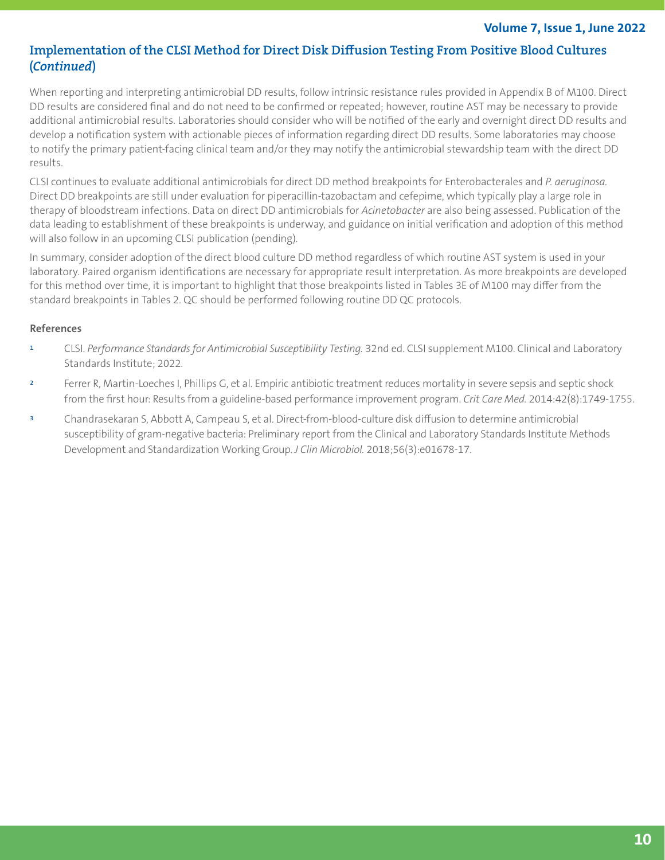#### **Volume 7, Issue 1, June 2022**

### **Implementation of the CLSI Method for Direct Disk Diffusion Testing From Positive Blood Cultures (***Continued***)**

When reporting and interpreting antimicrobial DD results, follow intrinsic resistance rules provided in Appendix B of M100. Direct DD results are considered final and do not need to be confirmed or repeated; however, routine AST may be necessary to provide additional antimicrobial results. Laboratories should consider who will be notified of the early and overnight direct DD results and develop a notification system with actionable pieces of information regarding direct DD results. Some laboratories may choose to notify the primary patient-facing clinical team and/or they may notify the antimicrobial stewardship team with the direct DD results.

CLSI continues to evaluate additional antimicrobials for direct DD method breakpoints for Enterobacterales and *P. aeruginosa*. Direct DD breakpoints are still under evaluation for piperacillin-tazobactam and cefepime, which typically play a large role in therapy of bloodstream infections. Data on direct DD antimicrobials for *Acinetobacter* are also being assessed. Publication of the data leading to establishment of these breakpoints is underway, and guidance on initial verification and adoption of this method will also follow in an upcoming CLSI publication (pending).

In summary, consider adoption of the direct blood culture DD method regardless of which routine AST system is used in your laboratory. Paired organism identifications are necessary for appropriate result interpretation. As more breakpoints are developed for this method over time, it is important to highlight that those breakpoints listed in Tables 3E of M100 may differ from the standard breakpoints in Tables 2. QC should be performed following routine DD QC protocols.

- **<sup>1</sup>** CLSI. *Performance Standards for Antimicrobial Susceptibility Testing.* 32nd ed. CLSI supplement M100. Clinical and Laboratory Standards Institute; 2022.
- **<sup>2</sup>** Ferrer R, Martin-Loeches I, Phillips G, et al. Empiric antibiotic treatment reduces mortality in severe sepsis and septic shock from the first hour: Results from a guideline-based performance improvement program. *Crit Care Med.* 2014:42(8):1749-1755.
- **<sup>3</sup>** Chandrasekaran S, Abbott A, Campeau S, et al. Direct-from-blood-culture disk diffusion to determine antimicrobial susceptibility of gram-negative bacteria: Preliminary report from the Clinical and Laboratory Standards Institute Methods Development and Standardization Working Group. *J Clin Microbiol.* 2018;56(3):e01678-17.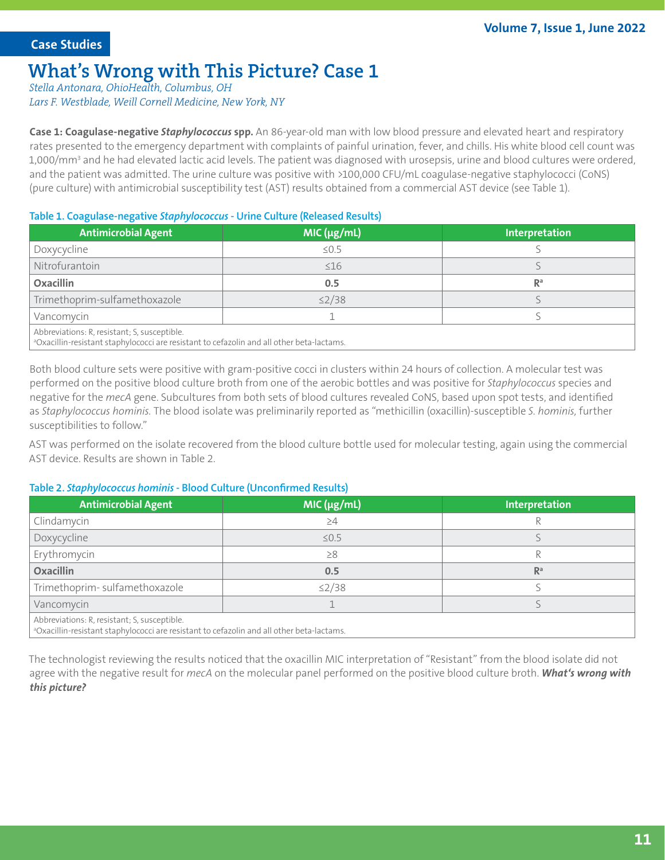#### <span id="page-10-0"></span>**Case Studies**

## **What's Wrong with This Picture? Case 1**

*Stella Antonara, OhioHealth, Columbus, OH Lars F. Westblade, Weill Cornell Medicine, New York, NY* 

**Case 1: Coagulase-negative** *Staphylococcus* **spp.** An 86-year-old man with low blood pressure and elevated heart and respiratory rates presented to the emergency department with complaints of painful urination, fever, and chills. His white blood cell count was 1,000/mm<sup>3</sup> and he had elevated lactic acid levels. The patient was diagnosed with urosepsis, urine and blood cultures were ordered, and the patient was admitted. The urine culture was positive with >100,000 CFU/mL coagulase-negative staphylococci (CoNS) (pure culture) with antimicrobial susceptibility test (AST) results obtained from a commercial AST device (see Table 1).

#### **Table 1. Coagulase-negative** *Staphylococcus* **- Urine Culture (Released Results)**

| <b>Antimicrobial Agent</b>                                                                                                                            | MIC(µg/ml)  | Interpretation |
|-------------------------------------------------------------------------------------------------------------------------------------------------------|-------------|----------------|
| Doxycycline                                                                                                                                           | $\leq$ 0.5  |                |
| Nitrofurantoin                                                                                                                                        | $\leq 16$   |                |
| Oxacillin                                                                                                                                             | 0.5         | $\mathbb{R}^a$ |
| Trimethoprim-sulfamethoxazole                                                                                                                         | $\leq$ 2/38 |                |
| Vancomycin                                                                                                                                            |             |                |
| Abbreviations: R, resistant; S, susceptible.<br><sup>a</sup> Oxacillin-resistant staphylococci are resistant to cefazolin and all other beta-lactams. |             |                |

Both blood culture sets were positive with gram-positive cocci in clusters within 24 hours of collection. A molecular test was performed on the positive blood culture broth from one of the aerobic bottles and was positive for *Staphylococcus* species and negative for the *mecA* gene. Subcultures from both sets of blood cultures revealed CoNS, based upon spot tests, and identified as *Staphylococcus hominis.* The blood isolate was preliminarily reported as "methicillin (oxacillin)-susceptible *S. hominis,* further susceptibilities to follow."

AST was performed on the isolate recovered from the blood culture bottle used for molecular testing, again using the commercial AST device. Results are shown in Table 2.

#### **Table 2.** *Staphylococcus hominis* **- Blood Culture (Unconfirmed Results)**

| <b>Antimicrobial Agent</b>                                                                                                                            | $MIC( \mu g/mL)$ | Interpretation |  |  |
|-------------------------------------------------------------------------------------------------------------------------------------------------------|------------------|----------------|--|--|
| Clindamycin                                                                                                                                           | $\geq 4$         |                |  |  |
| Doxycycline                                                                                                                                           | $\leq 0.5$       |                |  |  |
| Erythromycin                                                                                                                                          | $\geq 8$         |                |  |  |
| Oxacillin                                                                                                                                             | 0.5              | R <sup>a</sup> |  |  |
| Trimethoprim-sulfamethoxazole                                                                                                                         | $\leq$ 2/38      |                |  |  |
| Vancomycin                                                                                                                                            |                  |                |  |  |
| Abbreviations: R, resistant; S, susceptible.<br><sup>a</sup> Oxacillin-resistant staphylococci are resistant to cefazolin and all other beta-lactams. |                  |                |  |  |

The technologist reviewing the results noticed that the oxacillin MIC interpretation of "Resistant" from the blood isolate did not agree with the negative result for *mecA* on the molecular panel performed on the positive blood culture broth. *What's wrong with this picture?*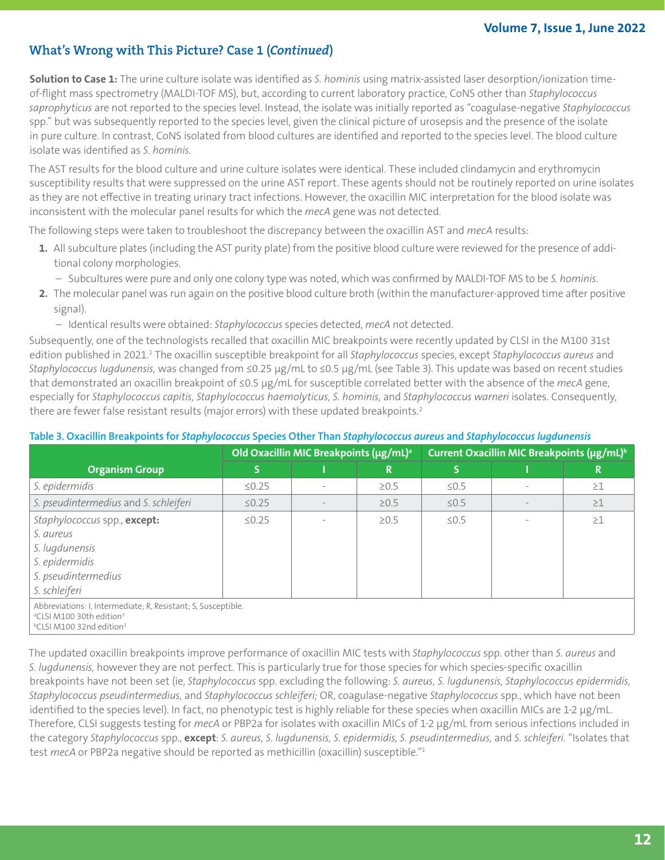## **What's Wrong with This Picture? Case 1 (***Continued***)**

**Solution to Case 1:** The urine culture isolate was identified as *S. hominis* using matrix-assisted laser desorption/ionization timeof-flight mass spectrometry (MALDI-TOF MS), but, according to current laboratory practice, CoNS other than *Staphylococcus saprophyticus* are not reported to the species level. Instead, the isolate was initially reported as "coagulase-negative *Staphylococcus* spp." but was subsequently reported to the species level, given the clinical picture of urosepsis and the presence of the isolate in pure culture. In contrast, CoNS isolated from blood cultures are identified and reported to the species level. The blood culture isolate was identified as *S. hominis*.

The AST results for the blood culture and urine culture isolates were identical. These included clindamycin and erythromycin susceptibility results that were suppressed on the urine AST report. These agents should not be routinely reported on urine isolates as they are not effective in treating urinary tract infections. However, the oxacillin MIC interpretation for the blood isolate was inconsistent with the molecular panel results for which the *mecA* gene was not detected.

The following steps were taken to troubleshoot the discrepancy between the oxacillin AST and *mecA* results:

- **1.** All subculture plates (including the AST purity plate) from the positive blood culture were reviewed for the presence of additional colony morphologies.
	- Subcultures were pure and only one colony type was noted, which was confirmed by MALDI-TOF MS to be *S. hominis*.
- **2.** The molecular panel was run again on the positive blood culture broth (within the manufacturer-approved time after positive signal).
	- Identical results were obtained: *Staphylococcus* species detected, *mecA* not detected.

Subsequently, one of the technologists recalled that oxacillin MIC breakpoints were recently updated by CLSI in the M100 31st edition published in 2021.<sup>1</sup> The oxacillin susceptible breakpoint for all Staphylococcus species, except Staphylococcus aureus and *Staphylococcus lugdunensis,* was changed from ≤0.25 µg/mL to ≤0.5 µg/mL (see Table 3). This update was based on recent studies that demonstrated an oxacillin breakpoint of ≤0.5 µg/mL for susceptible correlated better with the absence of the *mecA* gene, especially for *Staphylococcus capitis, Staphylococcus haemolyticus, S. hominis,* and *Staphylococcus warneri* isolates. Consequently, there are fewer false resistant results (major errors) with these updated breakpoints.<sup>2</sup>

|                                                                                                                                                                       | Old Oxacillin MIC Breakpoints (µg/mL) <sup>a</sup> |  |            | Current Oxacillin MIC Breakpoints (µg/mL) <sup>b</sup> |  |          |
|-----------------------------------------------------------------------------------------------------------------------------------------------------------------------|----------------------------------------------------|--|------------|--------------------------------------------------------|--|----------|
| <b>Organism Group</b>                                                                                                                                                 | S                                                  |  | R          | S                                                      |  | R        |
| S. epidermidis                                                                                                                                                        | $\leq$ 0.25                                        |  | $\geq 0.5$ | $\leq 0.5$                                             |  | $\geq$ 1 |
| S. pseudintermedius and S. schleiferi                                                                                                                                 | $\leq 0.25$                                        |  | $\geq 0.5$ | $\leq 0.5$                                             |  | $\geq$ 1 |
| Staphylococcus spp., except:<br>S. aureus<br>S. lugdunensis<br>S. epidermidis<br>S. pseudintermedius<br>S. schleiferi                                                 | $\leq$ 0.25                                        |  | $\geq 0.5$ | $\leq 0.5$                                             |  | $\geq$ 1 |
| Abbreviations: I, Intermediate; R, Resistant; S, Susceptible.<br><sup>a</sup> CLSI M100 30th edition <sup>3</sup><br><sup>b</sup> CLSI M100 32nd edition <sup>1</sup> |                                                    |  |            |                                                        |  |          |

#### **Table 3. Oxacillin Breakpoints for** *Staphylococcus* **Species Other Than** *Staphylococcus aureus* **and** *Staphylococcus lugdunensis*

The updated oxacillin breakpoints improve performance of oxacillin MIC tests with *Staphylococcus* spp. other than *S. aureus* and *S. lugdunensis,* however they are not perfect. This is particularly true for those species for which species-specific oxacillin breakpoints have not been set (ie, *Staphylococcus* spp. excluding the following: *S. aureus, S. lugdunensis, Staphylococcus epidermidis, Staphylococcus pseudintermedius,* and *Staphylococcus schleiferi;* OR, coagulase-negative *Staphylococcus* spp., which have not been identified to the species level). In fact, no phenotypic test is highly reliable for these species when oxacillin MICs are 1-2  $\mu$ g/mL. Therefore, CLSI suggests testing for *mecA* or PBP2a for isolates with oxacillin MICs of 1-2 µg/mL from serious infections included in the category *Staphylococcus* spp., **except**: *S. aureus, S. lugdunensis, S. epidermidis, S. pseudintermedius,* and *S. schleiferi.* "Isolates that test *mecA* or PBP2a negative should be reported as methicillin (oxacillin) susceptible."1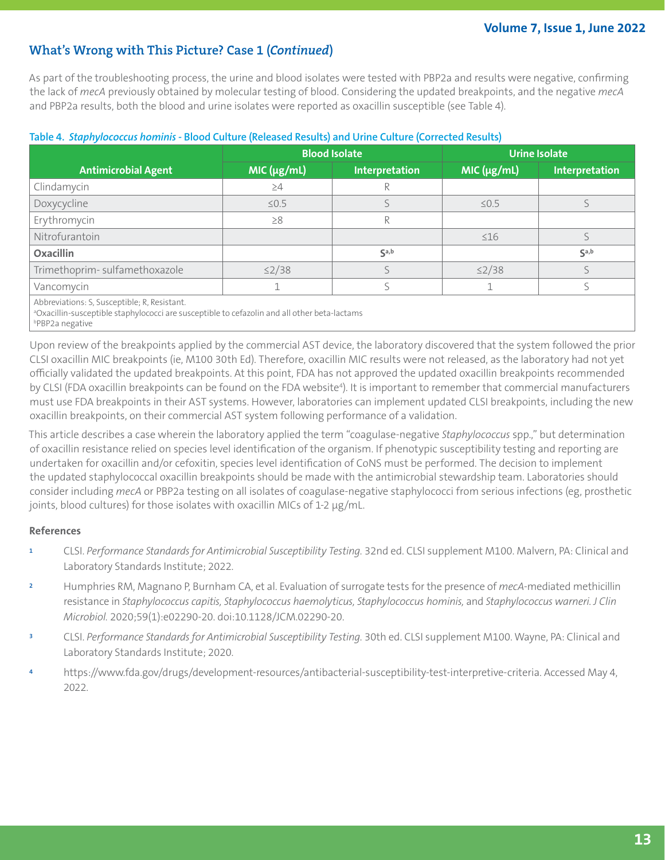## **What's Wrong with This Picture? Case 1 (***Continued***)**

As part of the troubleshooting process, the urine and blood isolates were tested with PBP2a and results were negative, confirming the lack of *mecA* previously obtained by molecular testing of blood. Considering the updated breakpoints, and the negative *mecA* and PBP2a results, both the blood and urine isolates were reported as oxacillin susceptible (see Table 4).

#### **Table 4.** *Staphylococcus hominis -* **Blood Culture (Released Results) and Urine Culture (Corrected Results)**

|                                                                                                                                                                                   |             | <b>Blood Isolate</b> |             | <b>Urine Isolate</b> |  |
|-----------------------------------------------------------------------------------------------------------------------------------------------------------------------------------|-------------|----------------------|-------------|----------------------|--|
| <b>Antimicrobial Agent</b>                                                                                                                                                        | MIC(µg/ml)  | Interpretation       | MIC(µg/ml)  | Interpretation       |  |
| Clindamycin                                                                                                                                                                       | $\geq 4$    | R                    |             |                      |  |
| Doxycycline                                                                                                                                                                       | $\leq 0.5$  |                      | $\leq 0.5$  |                      |  |
| Erythromycin                                                                                                                                                                      | $\geq 8$    | R                    |             |                      |  |
| Nitrofurantoin                                                                                                                                                                    |             |                      | $\leq 16$   |                      |  |
| Oxacillin                                                                                                                                                                         |             | $S$ <sub>a,b</sub>   |             | $\zeta$ a,b          |  |
| Trimethoprim-sulfamethoxazole                                                                                                                                                     | $\leq$ 2/38 |                      | $\leq$ 2/38 |                      |  |
| Vancomycin                                                                                                                                                                        |             |                      |             |                      |  |
| Abbreviations: S, Susceptible; R, Resistant.<br>aOxacillin-susceptible staphylococci are susceptible to cefazolin and all other beta-lactams<br>$bDDD22 \text{ ro}221 \text{ to}$ |             |                      |             |                      |  |

b PBP2a negative

Upon review of the breakpoints applied by the commercial AST device, the laboratory discovered that the system followed the prior CLSI oxacillin MIC breakpoints (ie, M100 30th Ed). Therefore, oxacillin MIC results were not released, as the laboratory had not yet officially validated the updated breakpoints. At this point, FDA has not approved the updated oxacillin breakpoints recommended by CLSI (FDA oxacillin breakpoints can be found on the FDA website<sup>4</sup>). It is important to remember that commercial manufacturers must use FDA breakpoints in their AST systems. However, laboratories can implement updated CLSI breakpoints, including the new oxacillin breakpoints, on their commercial AST system following performance of a validation.

This article describes a case wherein the laboratory applied the term "coagulase-negative *Staphylococcus* spp.," but determination of oxacillin resistance relied on species level identification of the organism. If phenotypic susceptibility testing and reporting are undertaken for oxacillin and/or cefoxitin, species level identification of CoNS must be performed. The decision to implement the updated staphylococcal oxacillin breakpoints should be made with the antimicrobial stewardship team. Laboratories should consider including *mecA* or PBP2a testing on all isolates of coagulase-negative staphylococci from serious infections (eg, prosthetic joints, blood cultures) for those isolates with oxacillin MICs of 1-2 µg/mL.

- **<sup>1</sup>** CLSI. *Performance Standards for Antimicrobial Susceptibility Testing.* 32nd ed. CLSI supplement M100. Malvern, PA: Clinical and Laboratory Standards Institute; 2022.
- **<sup>2</sup>** Humphries RM, Magnano P, Burnham CA, et al. Evaluation of surrogate tests for the presence of *mecA*-mediated methicillin resistance in *Staphylococcus capitis, Staphylococcus haemolyticus, Staphylococcus hominis,* and *Staphylococcus warneri. J Clin Microbiol.* 2020;59(1):e02290-20. doi:10.1128/JCM.02290-20.
- **<sup>3</sup>** CLSI. *Performance Standards for Antimicrobial Susceptibility Testing.* 30th ed. CLSI supplement M100. Wayne, PA: Clinical and Laboratory Standards Institute; 2020.
- **<sup>4</sup>** https://www.fda.gov/drugs/development-resources/antibacterial-susceptibility-test-interpretive-criteria. Accessed May 4, 2022.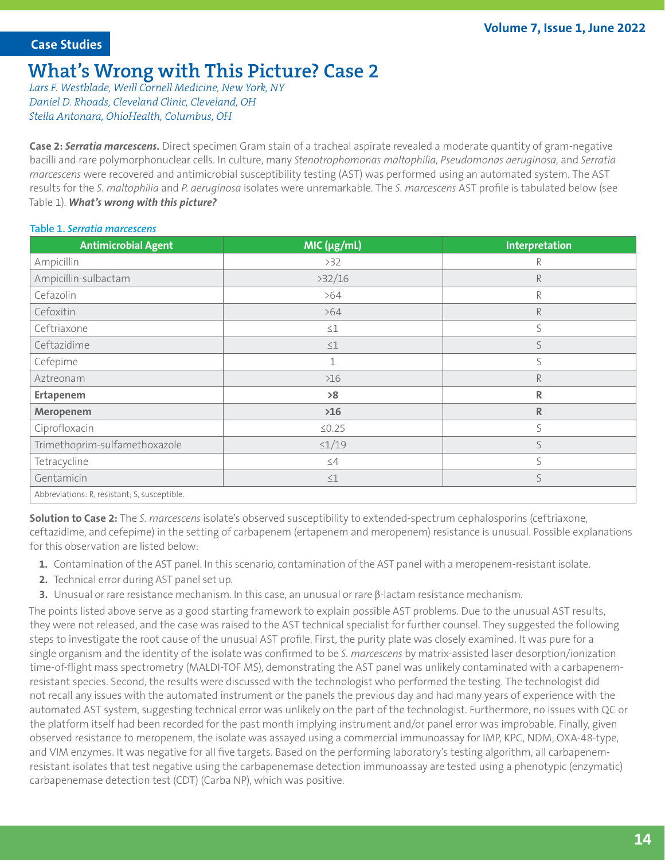#### <span id="page-13-0"></span>**Case Studies**

## **What's Wrong with This Picture? Case 2**

*Lars F. Westblade, Weill Cornell Medicine, New York, NY Daniel D. Rhoads, Cleveland Clinic, Cleveland, OH Stella Antonara, OhioHealth, Columbus, OH*

**Case 2:** *Serratia marcescens.* Direct specimen Gram stain of a tracheal aspirate revealed a moderate quantity of gram-negative bacilli and rare polymorphonuclear cells. In culture, many *Stenotrophomonas maltophilia, Pseudomonas aeruginosa,* and *Serratia marcescens* were recovered and antimicrobial susceptibility testing (AST) was performed using an automated system. The AST results for the *S. maltophilia* and *P. aeruginosa* isolates were unremarkable. The *S. marcescens* AST profile is tabulated below (see Table 1). *What's wrong with this picture?* 

#### **Table 1.** *Serratia marcescens*

| <b>Antimicrobial Agent</b>                   | MIC(µg/mL)  | Interpretation |
|----------------------------------------------|-------------|----------------|
| Ampicillin                                   | >32         | R              |
| Ampicillin-sulbactam                         | >32/16      | R              |
| Cefazolin                                    | >64         | R              |
| Cefoxitin                                    | >64         | $\mathsf R$    |
| Ceftriaxone                                  | $\leq$ 1    | S              |
| Ceftazidime                                  | $\leq\!\!1$ | S              |
| Cefepime                                     | $\mathbf 1$ | S              |
| Aztreonam                                    | $>16$       | R              |
| Ertapenem                                    | >8          | R              |
| Meropenem                                    | >16         | R              |
| Ciprofloxacin                                | $\leq 0.25$ | S              |
| Trimethoprim-sulfamethoxazole                | $\leq 1/19$ | S              |
| Tetracycline                                 | $\leq\!4$   | S              |
| Gentamicin                                   | $\leq\!\!1$ | S              |
| Abbreviations: R, resistant; S, susceptible. |             |                |

**Solution to Case 2:** The *S. marcescens* isolate's observed susceptibility to extended-spectrum cephalosporins (ceftriaxone, ceftazidime, and cefepime) in the setting of carbapenem (ertapenem and meropenem) resistance is unusual. Possible explanations for this observation are listed below:

- **1.** Contamination of the AST panel. In this scenario, contamination of the AST panel with a meropenem-resistant isolate.
- **2.** Technical error during AST panel set up.
- **3.** Unusual or rare resistance mechanism. In this case, an unusual or rare β-lactam resistance mechanism.

The points listed above serve as a good starting framework to explain possible AST problems. Due to the unusual AST results, they were not released, and the case was raised to the AST technical specialist for further counsel. They suggested the following steps to investigate the root cause of the unusual AST profile. First, the purity plate was closely examined. It was pure for a single organism and the identity of the isolate was confirmed to be *S. marcescens* by matrix-assisted laser desorption/ionization time-of-flight mass spectrometry (MALDI-TOF MS), demonstrating the AST panel was unlikely contaminated with a carbapenemresistant species. Second, the results were discussed with the technologist who performed the testing. The technologist did not recall any issues with the automated instrument or the panels the previous day and had many years of experience with the automated AST system, suggesting technical error was unlikely on the part of the technologist. Furthermore, no issues with QC or the platform itself had been recorded for the past month implying instrument and/or panel error was improbable. Finally, given observed resistance to meropenem, the isolate was assayed using a commercial immunoassay for IMP, KPC, NDM, OXA-48-type, and VIM enzymes. It was negative for all five targets. Based on the performing laboratory's testing algorithm, all carbapenemresistant isolates that test negative using the carbapenemase detection immunoassay are tested using a phenotypic (enzymatic) carbapenemase detection test (CDT) (Carba NP), which was positive.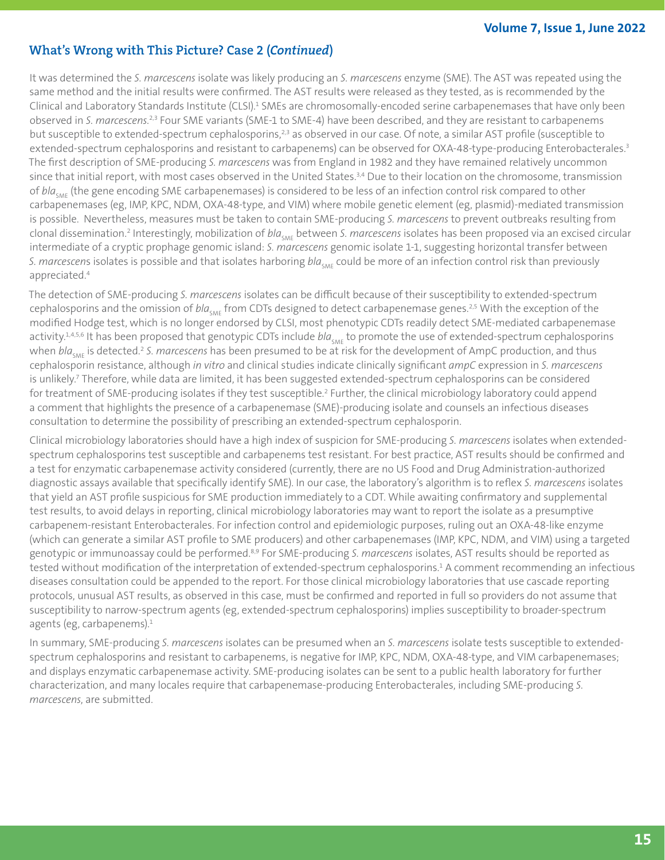## **What's Wrong with This Picture? Case 2 (***Continued***)**

It was determined the *S. marcescens* isolate was likely producing an *S. marcescens* enzyme (SME). The AST was repeated using the same method and the initial results were confirmed. The AST results were released as they tested, as is recommended by the Clinical and Laboratory Standards Institute (CLSI).<sup>1</sup> SMEs are chromosomally-encoded serine carbapenemases that have only been observed in S. marcescens.<sup>2,3</sup> Four SME variants (SME-1 to SME-4) have been described, and they are resistant to carbapenems but susceptible to extended-spectrum cephalosporins,<sup>2,3</sup> as observed in our case. Of note, a similar AST profile (susceptible to extended-spectrum cephalosporins and resistant to carbapenems) can be observed for OXA-48-type-producing Enterobacterales.<sup>3</sup> The first description of SME-producing *S. marcescens* was from England in 1982 and they have remained relatively uncommon since that initial report, with most cases observed in the United States.<sup>3,4</sup> Due to their location on the chromosome, transmission of *bla<sub>SME</sub>* (the gene encoding SME carbapenemases) is considered to be less of an infection control risk compared to other carbapenemases (eg, IMP, KPC, NDM, OXA-48-type, and VIM) where mobile genetic element (eg, plasmid)-mediated transmission is possible. Nevertheless, measures must be taken to contain SME-producing *S. marcescens* to prevent outbreaks resulting from clonal dissemination.<sup>2</sup> Interestingly, mobilization of *bla<sub>smE</sub> between S. marcescens* isolates has been proposed via an excised circular intermediate of a cryptic prophage genomic island: *S. marcescens* genomic isolate 1-1, suggesting horizontal transfer between *S. marcescens* isolates is possible and that isolates harboring *bla<sub>sME</sub>* could be more of an infection control risk than previously appreciated.4

The detection of SME-producing *S. marcescens* isolates can be difficult because of their susceptibility to extended-spectrum cephalosporins and the omission of *bla<sub>sME</sub>* from CDTs designed to detect carbapenemase genes.<sup>2,5</sup> With the exception of the modified Hodge test, which is no longer endorsed by CLSI, most phenotypic CDTs readily detect SME-mediated carbapenemase activity.<sup>1,4,5,6</sup> It has been proposed that genotypic CDTs include *bla<sub>sME</sub>* to promote the use of extended-spectrum cephalosporins when *bla<sub>sME</sub>* is detected.<sup>2</sup> S. marcescens has been presumed to be at risk for the development of AmpC production, and thus cephalosporin resistance, although *in vitro* and clinical studies indicate clinically significant *ampC* expression in *S. marcescens* is unlikely.7 Therefore, while data are limited, it has been suggested extended-spectrum cephalosporins can be considered for treatment of SME-producing isolates if they test susceptible.<sup>2</sup> Further, the clinical microbiology laboratory could append a comment that highlights the presence of a carbapenemase (SME)-producing isolate and counsels an infectious diseases consultation to determine the possibility of prescribing an extended-spectrum cephalosporin.

Clinical microbiology laboratories should have a high index of suspicion for SME-producing *S. marcescens* isolates when extendedspectrum cephalosporins test susceptible and carbapenems test resistant. For best practice, AST results should be confirmed and a test for enzymatic carbapenemase activity considered (currently, there are no US Food and Drug Administration-authorized diagnostic assays available that specifically identify SME). In our case, the laboratory's algorithm is to reflex *S. marcescens* isolates that yield an AST profile suspicious for SME production immediately to a CDT. While awaiting confirmatory and supplemental test results, to avoid delays in reporting, clinical microbiology laboratories may want to report the isolate as a presumptive carbapenem-resistant Enterobacterales. For infection control and epidemiologic purposes, ruling out an OXA-48-like enzyme (which can generate a similar AST profile to SME producers) and other carbapenemases (IMP, KPC, NDM, and VIM) using a targeted genotypic or immunoassay could be performed.8,9 For SME-producing *S. marcescens* isolates, AST results should be reported as tested without modification of the interpretation of extended-spectrum cephalosporins.1 A comment recommending an infectious diseases consultation could be appended to the report. For those clinical microbiology laboratories that use cascade reporting protocols, unusual AST results, as observed in this case, must be confirmed and reported in full so providers do not assume that susceptibility to narrow-spectrum agents (eg, extended-spectrum cephalosporins) implies susceptibility to broader-spectrum agents (eg, carbapenems).<sup>1</sup>

In summary, SME-producing *S. marcescens* isolates can be presumed when an *S. marcescens* isolate tests susceptible to extendedspectrum cephalosporins and resistant to carbapenems, is negative for IMP, KPC, NDM, OXA-48-type, and VIM carbapenemases; and displays enzymatic carbapenemase activity. SME-producing isolates can be sent to a public health laboratory for further characterization, and many locales require that carbapenemase-producing Enterobacterales, including SME-producing *S. marcescens*, are submitted.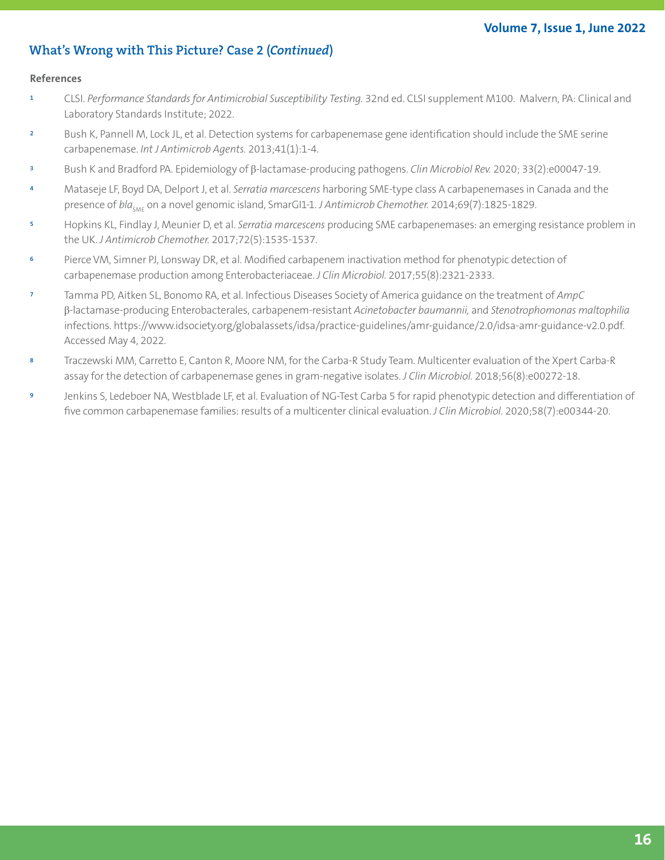#### **Volume 7, Issue 1, June 2022**

### **What's Wrong with This Picture? Case 2 (***Continued***)**

- **<sup>1</sup>** CLSI. *Performance Standards for Antimicrobial Susceptibility Testing.* 32nd ed. CLSI supplement M100. Malvern, PA: Clinical and Laboratory Standards Institute; 2022.
- **<sup>2</sup>** Bush K, Pannell M, Lock JL, et al. Detection systems for carbapenemase gene identification should include the SME serine carbapenemase. *Int J Antimicrob Agents.* 2013;41(1):1-4.
- **<sup>3</sup>** Bush K and Bradford PA. Epidemiology of β-lactamase-producing pathogens. *Clin Microbiol Rev.* 2020; 33(2):e00047-19.
- **<sup>4</sup>** Mataseje LF, Boyd DA, Delport J, et al. *Serratia marcescens* harboring SME-type class A carbapenemases in Canada and the presence of *bla<sub>sME</sub>* on a novel genomic island, SmarGI1-1. *J Antimicrob Chemother*. 2014;69(7):1825-1829.
- **<sup>5</sup>** Hopkins KL, Findlay J, Meunier D, et al. *Serratia marcescens* producing SME carbapenemases: an emerging resistance problem in the UK. *J Antimicrob Chemother.* 2017;72(5):1535-1537.
- **<sup>6</sup>** Pierce VM, Simner PJ, Lonsway DR, et al. Modified carbapenem inactivation method for phenotypic detection of carbapenemase production among Enterobacteriaceae. *J Clin Microbiol.* 2017;55(8):2321-2333.
- **<sup>7</sup>** Tamma PD, Aitken SL, Bonomo RA, et al. Infectious Diseases Society of America guidance on the treatment of *AmpC* β-lactamase-producing Enterobacterales, carbapenem-resistant *Acinetobacter baumannii,* and *Stenotrophomonas maltophilia*  infections. https://www.idsociety.org/globalassets/idsa/practice-guidelines/amr-guidance/2.0/idsa-amr-guidance-v2.0.pdf. Accessed May 4, 2022.
- **<sup>8</sup>** Traczewski MM, Carretto E, Canton R, Moore NM, for the Carba-R Study Team. Multicenter evaluation of the Xpert Carba-R assay for the detection of carbapenemase genes in gram-negative isolates. *J Clin Microbiol.* 2018;56(8):e00272-18.
- **<sup>9</sup>** Jenkins S, Ledeboer NA, Westblade LF, et al. Evaluation of NG-Test Carba 5 for rapid phenotypic detection and differentiation of five common carbapenemase families: results of a multicenter clinical evaluation. *J Clin Microbiol.* 2020;58(7):e00344-20.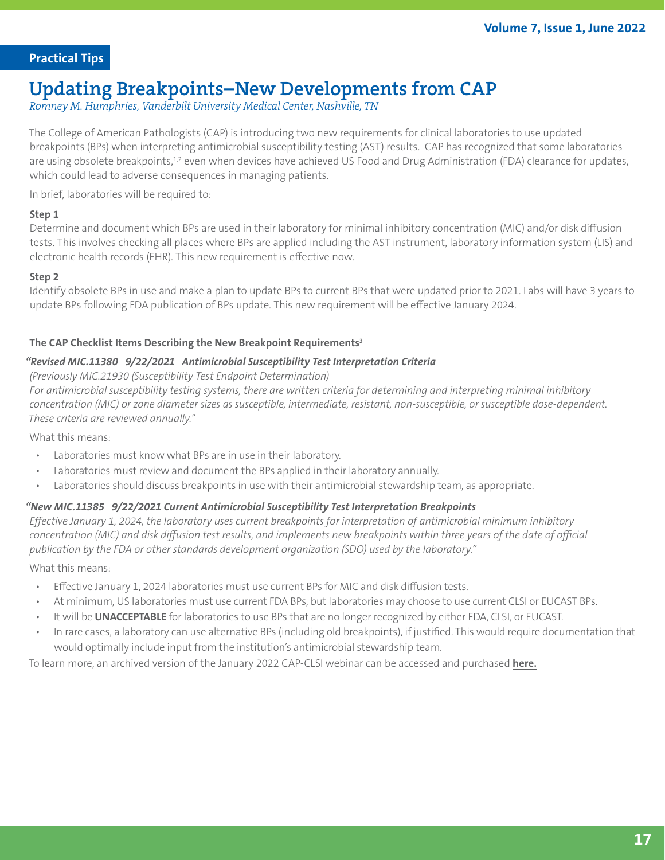### <span id="page-16-0"></span>**Practical Tips**

## **Updating Breakpoints–New Developments from CAP**

*Romney M. Humphries, Vanderbilt University Medical Center, Nashville, TN*

The College of American Pathologists (CAP) is introducing two new requirements for clinical laboratories to use updated breakpoints (BPs) when interpreting antimicrobial susceptibility testing (AST) results. CAP has recognized that some laboratories are using obsolete breakpoints,<sup>1,2</sup> even when devices have achieved US Food and Drug Administration (FDA) clearance for updates, which could lead to adverse consequences in managing patients.

In brief, laboratories will be required to:

#### **Step 1**

Determine and document which BPs are used in their laboratory for minimal inhibitory concentration (MIC) and/or disk diffusion tests. This involves checking all places where BPs are applied including the AST instrument, laboratory information system (LIS) and electronic health records (EHR). This new requirement is effective now.

#### **Step 2**

Identify obsolete BPs in use and make a plan to update BPs to current BPs that were updated prior to 2021. Labs will have 3 years to update BPs following FDA publication of BPs update. This new requirement will be effective January 2024.

#### The CAP Checklist Items Describing the New Breakpoint Requirements<sup>3</sup>

#### *"Revised MIC.11380 9/22/2021 Antimicrobial Susceptibility Test Interpretation Criteria*

*(Previously MIC.21930 (Susceptibility Test Endpoint Determination)*

*For antimicrobial susceptibility testing systems, there are written criteria for determining and interpreting minimal inhibitory concentration (MIC) or zone diameter sizes as susceptible, intermediate, resistant, non-susceptible, or susceptible dose-dependent. These criteria are reviewed annually."*

What this means:

- Laboratories must know what BPs are in use in their laboratory.
- Laboratories must review and document the BPs applied in their laboratory annually.
- Laboratories should discuss breakpoints in use with their antimicrobial stewardship team, as appropriate.

#### *"New MIC.11385 9/22/2021 Current Antimicrobial Susceptibility Test Interpretation Breakpoints*

*Effective January 1, 2024, the laboratory uses current breakpoints for interpretation of antimicrobial minimum inhibitory concentration (MIC) and disk diffusion test results, and implements new breakpoints within three years of the date of official publication by the FDA or other standards development organization (SDO) used by the laboratory."*

What this means:

- Effective January 1, 2024 laboratories must use current BPs for MIC and disk diffusion tests.
- At minimum, US laboratories must use current FDA BPs, but laboratories may choose to use current CLSI or EUCAST BPs.
- It will be **UNACCEPTABLE** for laboratories to use BPs that are no longer recognized by either FDA, CLSI, or EUCAST.
- In rare cases, a laboratory can use alternative BPs (including old breakpoints), if justified. This would require documentation that would optimally include input from the institution's antimicrobial stewardship team.

To learn more, an archived version of the January 2022 CAP-CLSI webinar can be accessed and purchased **[here.](https://clsi.org/standards/products/microbiology/education/astcap22wr/?gclid=CjwKCAjw6dmSBhBkEiwA_W-EoIelUyVSkkR2ixsSL0pfa4AYaTCisbHmNqn2n5RI9rKLVePXBxp8EBoCzScQAvD_BwE)**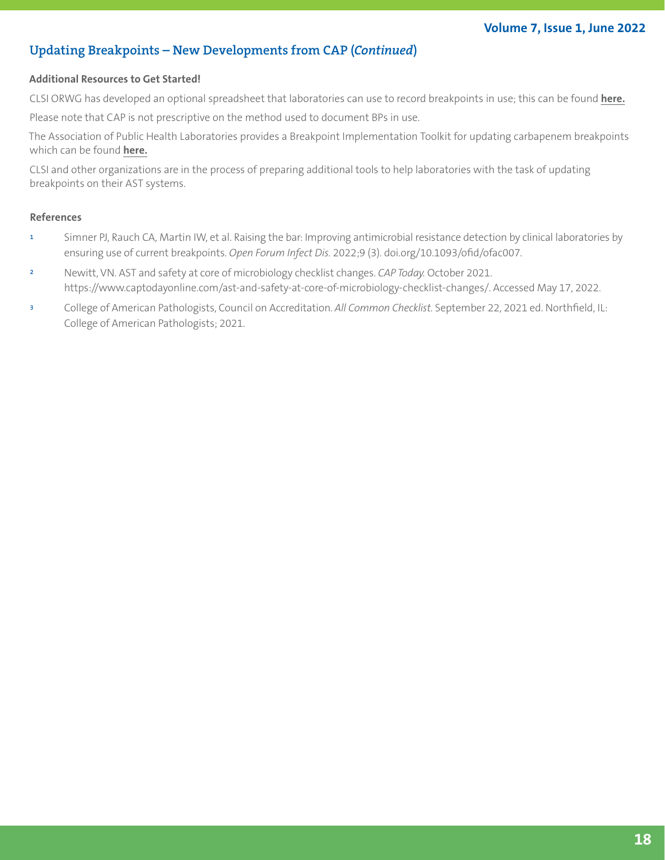## **Updating Breakpoints – New Developments from CAP (***Continued***)**

#### **Additional Resources to Get Started!**

CLSI ORWG has developed an optional spreadsheet that laboratories can use to record breakpoints in use; this can be found **[here](https://clsi.org/standards/products/microbiology/companion/bpiu).**

Please note that CAP is not prescriptive on the method used to document BPs in use.

The Association of Public Health Laboratories provides a Breakpoint Implementation Toolkit for updating carbapenem breakpoints which can be found **[here.](https://www.aphl.org/programs/infectious_disease/Pages/CRO-Breakpoint-Implementation-Toolkit.aspx)**

CLSI and other organizations are in the process of preparing additional tools to help laboratories with the task of updating breakpoints on their AST systems.

- **<sup>1</sup>** Simner PJ, Rauch CA, Martin IW, et al. Raising the bar: Improving antimicrobial resistance detection by clinical laboratories by ensuring use of current breakpoints. *Open Forum Infect Dis.* 2022;9 (3). doi.org/10.1093/ofid/ofac007.
- **<sup>2</sup>** Newitt, VN. AST and safety at core of microbiology checklist changes. *CAP Today.* October 2021. https://www.captodayonline.com/ast-and-safety-at-core-of-microbiology-checklist-changes/. Accessed May 17, 2022.
- **<sup>3</sup>** College of American Pathologists, Council on Accreditation. *All Common Checklist.* September 22, 2021 ed. Northfield, IL: College of American Pathologists; 2021.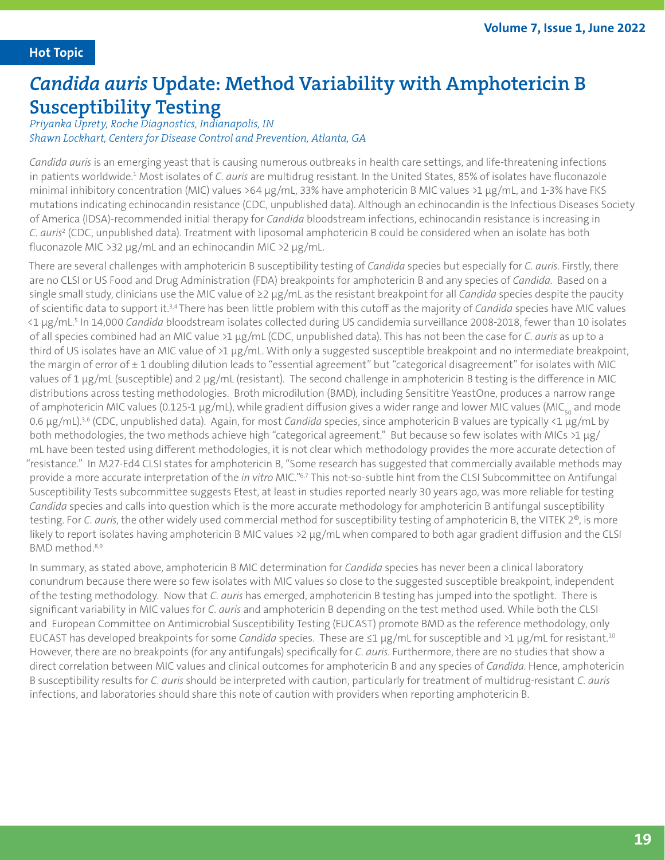## <span id="page-18-0"></span>*Candida auris* **Update: Method Variability with Amphotericin B Susceptibility Testing**

*Priyanka Uprety, Roche Diagnostics, Indianapolis, IN Shawn Lockhart, Centers for Disease Control and Prevention, Atlanta, GA*

*Candida auris* is an emerging yeast that is causing numerous outbreaks in health care settings, and life-threatening infections in patients worldwide.<del>1</del> Most isolates of *C. auris* are multidrug resistant. In the United States, 85% of isolates have fluconazole minimal inhibitory concentration (MIC) values >64 µg/mL, 33% have amphotericin B MIC values >1 µg/mL, and 1-3% have FKS mutations indicating echinocandin resistance (CDC, unpublished data). Although an echinocandin is the Infectious Diseases Society of America (IDSA)-recommended initial therapy for *Candida* bloodstream infections, echinocandin resistance is increasing in *C. auris*<sup>2</sup> (CDC, unpublished data). Treatment with liposomal amphotericin B could be considered when an isolate has both fluconazole MIC > 32 µg/mL and an echinocandin MIC > 2 µg/mL.

There are several challenges with amphotericin B susceptibility testing of *Candida* species but especially for *C. auris*. Firstly, there are no CLSI or US Food and Drug Administration (FDA) breakpoints for amphotericin B and any species of *Candida*. Based on a single small study, clinicians use the MIC value of ≥2 µg/mL as the resistant breakpoint for all *Candida* species despite the paucity of scientific data to support it.3,4 There has been little problem with this cutoff as the majority of *Candida* species have MIC values <1 µg/mL.5 In 14,000 *Candida* bloodstream isolates collected during US candidemia surveillance 2008-2018, fewer than 10 isolates of all species combined had an MIC value >1 µg/mL (CDC, unpublished data). This has not been the case for *C. auris* as up to a third of US isolates have an MIC value of >1 µg/mL. With only a suggested susceptible breakpoint and no intermediate breakpoint, the margin of error of  $\pm$  1 doubling dilution leads to "essential agreement" but "categorical disagreement" for isolates with MIC values of 1  $\mu$ g/mL (susceptible) and 2  $\mu$ g/mL (resistant). The second challenge in amphotericin B testing is the difference in MIC distributions across testing methodologies. Broth microdilution (BMD), including Sensititre YeastOne, produces a narrow range of amphotericin MIC values (0.125-1  $\mu$ g/mL), while gradient diffusion gives a wider range and lower MIC values (MIC<sub>50</sub> and mode 0.6 µg/mL).3,6 (CDC, unpublished data). Again, for most *Candida* species, since amphotericin B values are typically <1 µg/mL by both methodologies, the two methods achieve high "categorical agreement." But because so few isolates with MICs >1 µg/ mL have been tested using different methodologies, it is not clear which methodology provides the more accurate detection of "resistance." In M27-Ed4 CLSI states for amphotericin B, "Some research has suggested that commercially available methods may provide a more accurate interpretation of the *in vitro* MIC."6,7 This not-so-subtle hint from the CLSI Subcommittee on Antifungal Susceptibility Tests subcommittee suggests Etest, at least in studies reported nearly 30 years ago, was more reliable for testing *Candida* species and calls into question which is the more accurate methodology for amphotericin B antifungal susceptibility testing. For *C. auris*, the other widely used commercial method for susceptibility testing of amphotericin B, the VITEK 2®, is more likely to report isolates having amphotericin B MIC values >2 µg/mL when compared to both agar gradient diffusion and the CLSI BMD method.8,9

In summary, as stated above, amphotericin B MIC determination for *Candida* species has never been a clinical laboratory conundrum because there were so few isolates with MIC values so close to the suggested susceptible breakpoint, independent of the testing methodology. Now that *C. auris* has emerged, amphotericin B testing has jumped into the spotlight. There is significant variability in MIC values for *C. auris* and amphotericin B depending on the test method used. While both the CLSI and European Committee on Antimicrobial Susceptibility Testing (EUCAST) promote BMD as the reference methodology, only EUCAST has developed breakpoints for some *Candida* species. These are ≤1 µg/mL for susceptible and >1 µg/mL for resistant.10 However, there are no breakpoints (for any antifungals) specifically for *C. auris*. Furthermore, there are no studies that show a direct correlation between MIC values and clinical outcomes for amphotericin B and any species of *Candida*. Hence, amphotericin B susceptibility results for *C. auris* should be interpreted with caution, particularly for treatment of multidrug-resistant *C. auris* infections, and laboratories should share this note of caution with providers when reporting amphotericin B.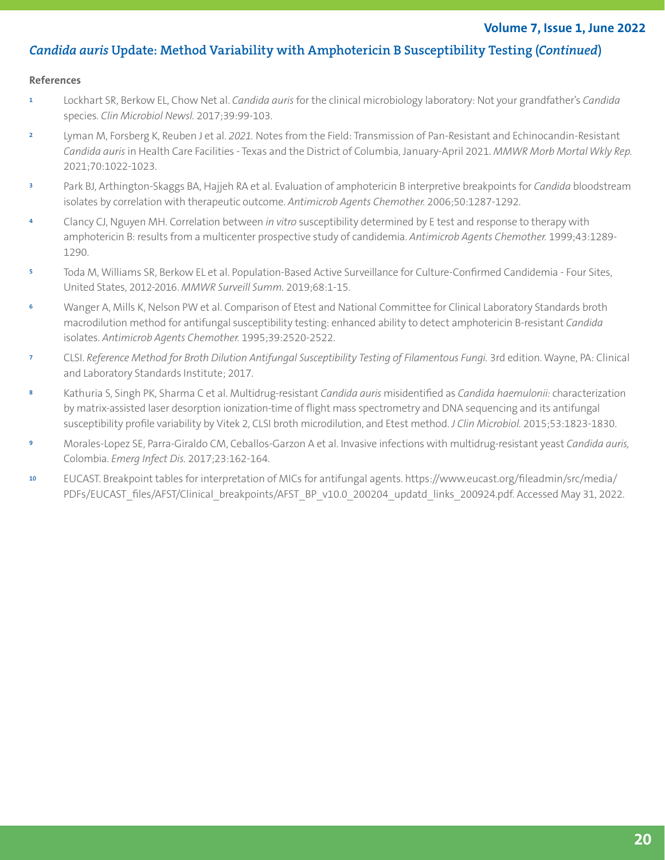### *Candida auris* **Update: Method Variability with Amphotericin B Susceptibility Testing (***Continued***)**

- **<sup>1</sup>** Lockhart SR, Berkow EL, Chow Net al. *Candida auris* for the clinical microbiology laboratory: Not your grandfather's *Candida* species. *Clin Microbiol Newsl.* 2017;39:99-103.
- **<sup>2</sup>** Lyman M, Forsberg K, Reuben J et al. *2021.* Notes from the Field: Transmission of Pan-Resistant and Echinocandin-Resistant *Candida auris* in Health Care Facilities - Texas and the District of Columbia, January-April 2021. *MMWR Morb Mortal Wkly Rep.* 2021;70:1022-1023.
- **<sup>3</sup>** Park BJ, Arthington-Skaggs BA, Hajjeh RA et al. Evaluation of amphotericin B interpretive breakpoints for *Candida* bloodstream isolates by correlation with therapeutic outcome. *Antimicrob Agents Chemother.* 2006;50:1287-1292.
- **<sup>4</sup>** Clancy CJ, Nguyen MH. Correlation between *in vitro* susceptibility determined by E test and response to therapy with amphotericin B: results from a multicenter prospective study of candidemia. *Antimicrob Agents Chemother.* 1999;43:1289- 1290.
- **<sup>5</sup>** Toda M, Williams SR, Berkow EL et al. Population-Based Active Surveillance for Culture-Confirmed Candidemia Four Sites, United States, 2012-2016. *MMWR Surveill Summ.* 2019;68:1-15.
- **<sup>6</sup>** Wanger A, Mills K, Nelson PW et al. Comparison of Etest and National Committee for Clinical Laboratory Standards broth macrodilution method for antifungal susceptibility testing: enhanced ability to detect amphotericin B-resistant *Candida* isolates. *Antimicrob Agents Chemother.* 1995;39:2520-2522.
- **<sup>7</sup>** CLSI. *Reference Method for Broth Dilution Antifungal Susceptibility Testing of Filamentous Fungi.* 3rd edition. Wayne, PA: Clinical and Laboratory Standards Institute; 2017.
- **<sup>8</sup>** Kathuria S, Singh PK, Sharma C et al. Multidrug-resistant *Candida auris* misidentified as *Candida haemulonii:* characterization by matrix-assisted laser desorption ionization-time of flight mass spectrometry and DNA sequencing and its antifungal susceptibility profile variability by Vitek 2, CLSI broth microdilution, and Etest method. *J Clin Microbiol.* 2015;53:1823-1830.
- **<sup>9</sup>** Morales-Lopez SE, Parra-Giraldo CM, Ceballos-Garzon A et al. Invasive infections with multidrug-resistant yeast *Candida auris,* Colombia. *Emerg Infect Dis.* 2017;23:162-164.
- **<sup>10</sup>** EUCAST. Breakpoint tables for interpretation of MICs for antifungal agents. https://www.eucast.org/fileadmin/src/media/ PDFs/EUCAST\_files/AFST/Clinical\_breakpoints/AFST\_BP\_v10.0\_200204\_updatd\_links\_200924.pdf. Accessed May 31, 2022.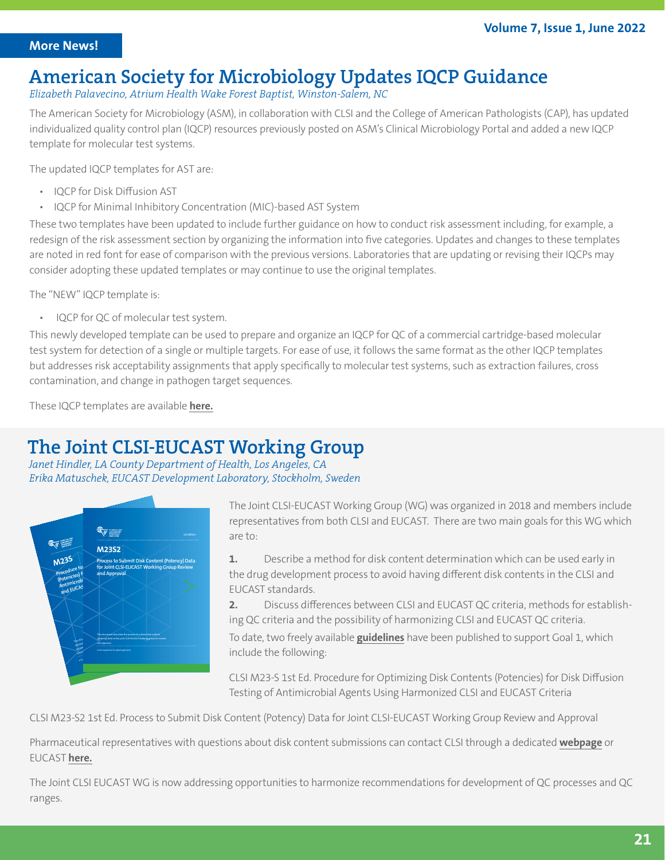## <span id="page-20-0"></span>**American Society for Microbiology Updates IQCP Guidance**

*Elizabeth Palavecino, Atrium Health Wake Forest Baptist, Winston-Salem, NC*

The American Society for Microbiology (ASM), in collaboration with CLSI and the College of American Pathologists (CAP), has updated individualized quality control plan (IQCP) resources previously posted on ASM's Clinical Microbiology Portal and added a new IQCP template for molecular test systems.

The updated IQCP templates for AST are:

- IQCP for Disk Diffusion AST
- IQCP for Minimal Inhibitory Concentration (MIC)-based AST System

These two templates have been updated to include further guidance on how to conduct risk assessment including, for example, a redesign of the risk assessment section by organizing the information into five categories. Updates and changes to these templates are noted in red font for ease of comparison with the previous versions. Laboratories that are updating or revising their IQCPs may consider adopting these updated templates or may continue to use the original templates.

The "NEW" IQCP template is:

• IQCP for QC of molecular test system.

This newly developed template can be used to prepare and organize an IQCP for QC of a commercial cartridge-based molecular test system for detection of a single or multiple targets. For ease of use, it follows the same format as the other IQCP templates but addresses risk acceptability assignments that apply specifically to molecular test systems, such as extraction failures, cross contamination, and change in pathogen target sequences.

These IQCP templates are available **[here.](https://asm.org/Protocols/Individualized-Quality-Control-Plan-IQCP)**

## **The Joint CLSI-EUCAST Working Group**

*Janet Hindler, LA County Department of Health, Los Angeles, CA Erika Matuschek, EUCAST Development Laboratory, Stockholm, Sweden*



The Joint CLSI-EUCAST Working Group (WG) was organized in 2018 and members include representatives from both CLSI and EUCAST. There are two main goals for this WG which are to:

**1.** Describe a method for disk content determination which can be used early in the drug development process to avoid having different disk contents in the CLSI and EUCAST standards.

**2.** Discuss differences between CLSI and EUCAST QC criteria, methods for establishing QC criteria and the possibility of harmonizing CLSI and EUCAST QC criteria. To date, two freely available **[guidelines](https://clsi.org/standards/products/microbiology/documents/m23s/)** have been published to support Goal 1, which include the following:

CLSI M23-S 1st Ed. Procedure for Optimizing Disk Contents (Potencies) for Disk Diffusion Testing of Antimicrobial Agents Using Harmonized CLSI and EUCAST Criteria

CLSI M23-S2 1st Ed. Process to Submit Disk Content (Potency) Data for Joint CLSI-EUCAST Working Group Review and Approval

Pharmaceutical representatives with questions about disk content submissions can contact CLSI through a dedicated **[webpage](https://clsi.org/m23-supplement-question/)** or EUCAST **[here.](https://www.eucast.org/links_and_contacts/eucast_contact_form/)**

The Joint CLSI EUCAST WG is now addressing opportunities to harmonize recommendations for development of QC processes and QC ranges.